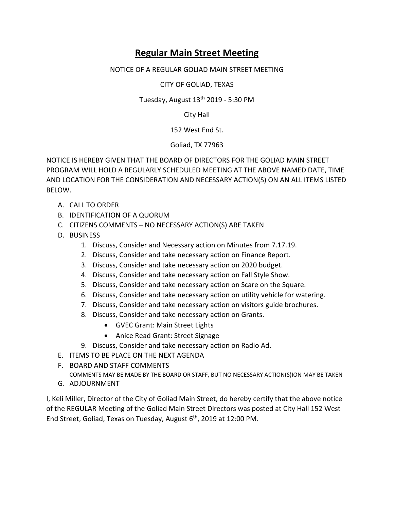## **Regular Main Street Meeting**

## NOTICE OF A REGULAR GOLIAD MAIN STREET MEETING

CITY OF GOLIAD, TEXAS

## Tuesday, August  $13<sup>th</sup>$  2019 - 5:30 PM

City Hall

152 West End St.

Goliad, TX 77963

NOTICE IS HEREBY GIVEN THAT THE BOARD OF DIRECTORS FOR THE GOLIAD MAIN STREET PROGRAM WILL HOLD A REGULARLY SCHEDULED MEETING AT THE ABOVE NAMED DATE, TIME AND LOCATION FOR THE CONSIDERATION AND NECESSARY ACTION(S) ON AN ALL ITEMS LISTED BELOW.

- A. CALL TO ORDER
- B. IDENTIFICATION OF A QUORUM
- C. CITIZENS COMMENTS NO NECESSARY ACTION(S) ARE TAKEN
- D. BUSINESS
	- 1. Discuss, Consider and Necessary action on Minutes from 7.17.19.
	- 2. Discuss, Consider and take necessary action on Finance Report.
	- 3. Discuss, Consider and take necessary action on 2020 budget.
	- 4. Discuss, Consider and take necessary action on Fall Style Show.
	- 5. Discuss, Consider and take necessary action on Scare on the Square.
	- 6. Discuss, Consider and take necessary action on utility vehicle for watering.
	- 7. Discuss, Consider and take necessary action on visitors guide brochures.
	- 8. Discuss, Consider and take necessary action on Grants.
		- GVEC Grant: Main Street Lights
		- Anice Read Grant: Street Signage
	- 9. Discuss, Consider and take necessary action on Radio Ad.
- E. ITEMS TO BE PLACE ON THE NEXT AGENDA
- F. BOARD AND STAFF COMMENTS

COMMENTS MAY BE MADE BY THE BOARD OR STAFF, BUT NO NECESSARY ACTION(S)ION MAY BE TAKEN G. ADJOURNMENT

I, Keli Miller, Director of the City of Goliad Main Street, do hereby certify that the above notice of the REGULAR Meeting of the Goliad Main Street Directors was posted at City Hall 152 West End Street, Goliad, Texas on Tuesday, August  $6<sup>th</sup>$ , 2019 at 12:00 PM.